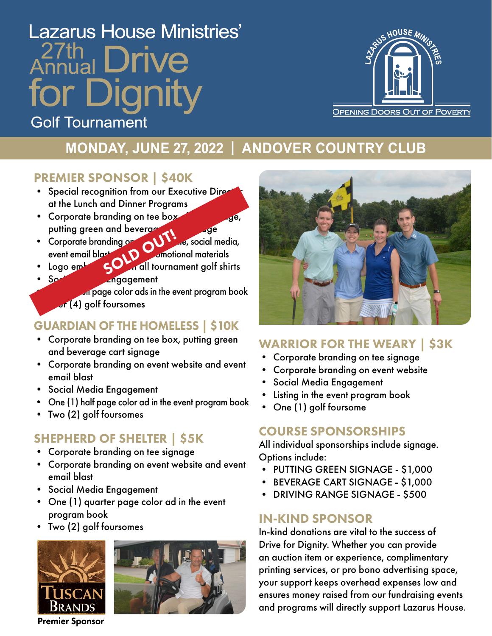# **Lazarus House Ministries'** 27th Dianity **Golf Tournament**



# **MONDAY, JUNE 27, 2022 | ANDOVER COUNTRY CLUB**

### PREMIER SPONSOR | \$40K

- Special recognition from our Executive Director at the Lunch and Dinner Programs
- Corporate branding on tee box, driving range, putting green and beverage care signals
- Corporate branding  $\circ \bullet$   $\bullet$   $\bullet$ , social media, event email blast and promotional materials • Corporate branding on all tournament golf shirts<br>• Logo embroidered on all tournament golf shirts
- Social Media Engagement

on page color ads in the event program book  $\overline{\mathcal{F}}(4)$  golf foursomes

# GUARDIAN OF THE HOMELESS | \$10K

- Corporate branding on tee box, putting green and beverage cart signage
- Corporate branding on event website and event email blast
- Social Media Engagement
- One (1) half page color ad in the event program book
- Two (2) golf foursomes

## SHEPHERD OF SHELTER | \$5K

- Corporate branding on tee signage
- Corporate branding on event website and event email blast
- Social Media Engagement
- One (1) quarter page color ad in the event program book
- Two (2) golf foursomes







### WARRIOR FOR THE WEARY | \$3K

- Corporate branding on tee signage
- Corporate branding on event website
- Social Media Engagement
- Listing in the event program book
- One (1) golf foursome

## COURSE SPONSORSHIPS

All individual sponsorships include signage. Options include:

- PUTTING GREEN SIGNAGE \$1,000
- BEVERAGE CART SIGNAGE \$1,000
- DRIVING RANGE SIGNAGE \$500

### IN-KIND SPONSOR

In-kind donations are vital to the success of Drive for Dignity. Whether you can provide an auction item or experience, complimentary printing services, or pro bono advertising space, your support keeps overhead expenses low and ensures money raised from our fundraising events and programs will directly support Lazarus House.